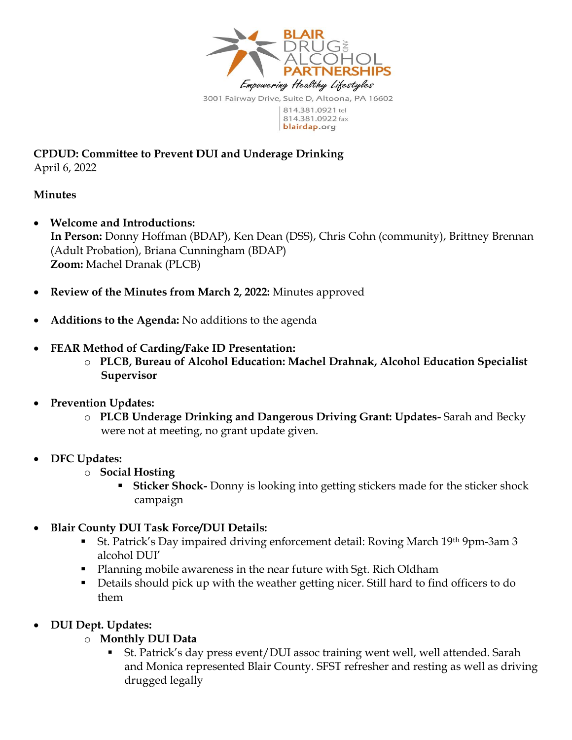

**CPDUD: Committee to Prevent DUI and Underage Drinking** April 6, 2022

### **Minutes**

- **Welcome and Introductions: In Person:** Donny Hoffman (BDAP), Ken Dean (DSS), Chris Cohn (community), Brittney Brennan (Adult Probation), Briana Cunningham (BDAP) **Zoom:** Machel Dranak (PLCB)
- **Review of the Minutes from March 2, 2022:** Minutes approved
- **Additions to the Agenda:** No additions to the agenda
- **FEAR Method of Carding/Fake ID Presentation:** 
	- o **PLCB, Bureau of Alcohol Education: Machel Drahnak, Alcohol Education Specialist Supervisor**
- **Prevention Updates:** 
	- o **PLCB Underage Drinking and Dangerous Driving Grant: Updates-** Sarah and Becky were not at meeting, no grant update given.
- **DFC Updates:** 
	- o **Social Hosting** 
		- **Sticker Shock-** Donny is looking into getting stickers made for the sticker shock campaign
- **Blair County DUI Task Force/DUI Details:**
	- St. Patrick's Day impaired driving enforcement detail: Roving March 19th 9pm-3am 3 alcohol DUI'
	- Planning mobile awareness in the near future with Sgt. Rich Oldham
	- Details should pick up with the weather getting nicer. Still hard to find officers to do them
- **DUI Dept. Updates:**
	- o **Monthly DUI Data** 
		- St. Patrick's day press event/DUI assoc training went well, well attended. Sarah and Monica represented Blair County. SFST refresher and resting as well as driving drugged legally